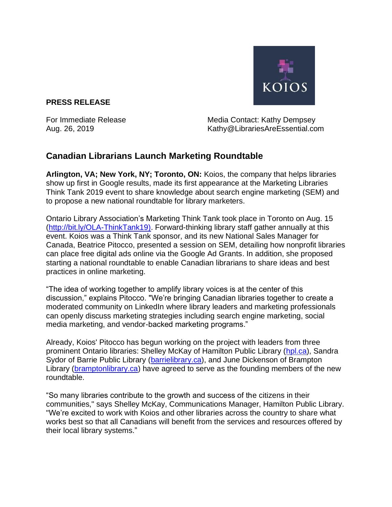

## **PRESS RELEASE**

For Immediate Release Media Contact: Kathy Dempsey Aug. 26, 2019 Kathy@LibrariesAreEssential.com

## **Canadian Librarians Launch Marketing Roundtable**

**Arlington, VA; New York, NY; Toronto, ON:** Koios, the company that helps libraries show up first in Google results, made its first appearance at the Marketing Libraries Think Tank 2019 event to share knowledge about search engine marketing (SEM) and to propose a new national roundtable for library marketers.

Ontario Library Association's Marketing Think Tank took place in Toronto on Aug. 15 [\(http://bit.ly/OLA-ThinkTank19\).](http://bit.ly/OLA-ThinkTank19)) Forward-thinking library staff gather annually at this event. Koios was a Think Tank sponsor, and its new National Sales Manager for Canada, Beatrice Pitocco, presented a session on SEM, detailing how nonprofit libraries can place free digital ads online via the Google Ad Grants. In addition, she proposed starting a national roundtable to enable Canadian librarians to share ideas and best practices in online marketing.

"The idea of working together to amplify library voices is at the center of this discussion," explains Pitocco. "We're bringing Canadian libraries together to create a moderated community on LinkedIn where library leaders and marketing professionals can openly discuss marketing strategies including search engine marketing, social media marketing, and vendor-backed marketing programs."

Already, Koios' Pitocco has begun working on the project with leaders from three prominent Ontario libraries: Shelley McKay of Hamilton Public Library [\(hpl.ca\)](https://www.hpl.ca/), Sandra Sydor of Barrie Public Library [\(barrielibrary.ca\)](https://www.barrielibrary.ca/), and June Dickenson of Brampton Library [\(bramptonlibrary.ca\)](https://www.bramptonlibrary.ca/) have agreed to serve as the founding members of the new roundtable.

"So many libraries contribute to the growth and success of the citizens in their communities," says Shelley McKay, Communications Manager, Hamilton Public Library. "We're excited to work with Koios and other libraries across the country to share what works best so that all Canadians will benefit from the services and resources offered by their local library systems."